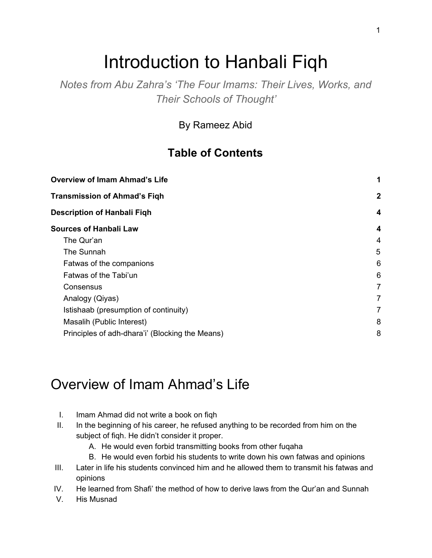# Introduction to Hanbali Fiqh

*Notes from Abu Zahra's 'The Four Imams: Their Lives, Works, and Their Schools of Thought'*

By Rameez Abid

#### **Table of Contents**

| <b>Overview of Imam Ahmad's Life</b><br><b>Transmission of Ahmad's Figh</b> | 1            |
|-----------------------------------------------------------------------------|--------------|
|                                                                             | $\mathbf{2}$ |
| <b>Description of Hanbali Figh</b>                                          | 4            |
| <b>Sources of Hanbali Law</b>                                               | 4            |
| The Qur'an                                                                  | 4            |
| The Sunnah                                                                  | 5            |
| Fatwas of the companions                                                    | 6            |
| Fatwas of the Tabi'un                                                       | 6            |
| Consensus                                                                   | 7            |
| Analogy (Qiyas)                                                             | 7            |
| Istishaab (presumption of continuity)                                       | 7            |
| Masalih (Public Interest)                                                   | 8            |
| Principles of adh-dhara'i' (Blocking the Means)                             | 8            |

### <span id="page-0-0"></span>Overview of Imam Ahmad's Life

- I. Imam Ahmad did not write a book on fiqh
- II. In the beginning of his career, he refused anything to be recorded from him on the subject of fiqh. He didn't consider it proper.
	- A. He would even forbid transmitting books from other fuqaha
	- B. He would even forbid his students to write down his own fatwas and opinions
- III. Later in life his students convinced him and he allowed them to transmit his fatwas and opinions
- IV. He learned from Shafi' the method of how to derive laws from the Qur'an and Sunnah
- V. His Musnad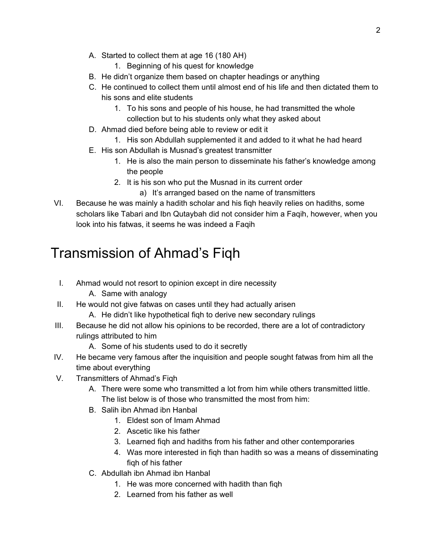- A. Started to collect them at age 16 (180 AH)
	- 1. Beginning of his quest for knowledge
- B. He didn't organize them based on chapter headings or anything
- C. He continued to collect them until almost end of his life and then dictated them to his sons and elite students
	- 1. To his sons and people of his house, he had transmitted the whole collection but to his students only what they asked about
- D. Ahmad died before being able to review or edit it
	- 1. His son Abdullah supplemented it and added to it what he had heard
- E. His son Abdullah is Musnad's greatest transmitter
	- 1. He is also the main person to disseminate his father's knowledge among the people
	- 2. It is his son who put the Musnad in its current order
		- a) It's arranged based on the name of transmitters
- VI. Because he was mainly a hadith scholar and his fiqh heavily relies on hadiths, some scholars like Tabari and Ibn Qutaybah did not consider him a Faqih, however, when you look into his fatwas, it seems he was indeed a Faqih

# <span id="page-1-0"></span>Transmission of Ahmad's Fiqh

- I. Ahmad would not resort to opinion except in dire necessity
	- A. Same with analogy
- II. He would not give fatwas on cases until they had actually arisen
	- A. He didn't like hypothetical fiqh to derive new secondary rulings
- III. Because he did not allow his opinions to be recorded, there are a lot of contradictory rulings attributed to him
	- A. Some of his students used to do it secretly
- IV. He became very famous after the inquisition and people sought fatwas from him all the time about everything
- V. Transmitters of Ahmad's Fiqh
	- A. There were some who transmitted a lot from him while others transmitted little. The list below is of those who transmitted the most from him:
	- B. Salih ibn Ahmad ibn Hanbal
		- 1. Eldest son of Imam Ahmad
		- 2. Ascetic like his father
		- 3. Learned fiqh and hadiths from his father and other contemporaries
		- 4. Was more interested in fiqh than hadith so was a means of disseminating fiqh of his father
	- C. Abdullah ibn Ahmad ibn Hanbal
		- 1. He was more concerned with hadith than fiqh
		- 2. Learned from his father as well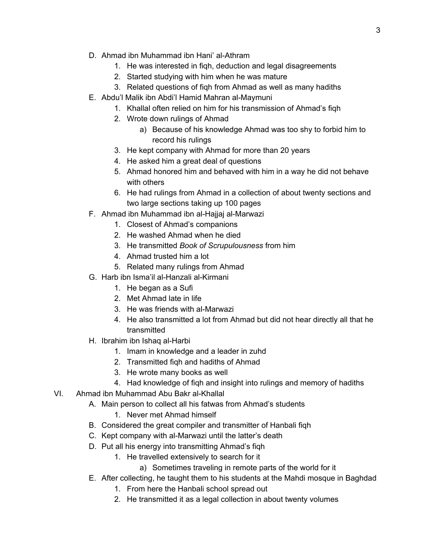- D. Ahmad ibn Muhammad ibn Hani' al-Athram
	- 1. He was interested in fiqh, deduction and legal disagreements
	- 2. Started studying with him when he was mature
	- 3. Related questions of fiqh from Ahmad as well as many hadiths
- E. Abdu'l Malik ibn Abdi'l Hamid Mahran al-Maymuni
	- 1. Khallal often relied on him for his transmission of Ahmad's fiqh
	- 2. Wrote down rulings of Ahmad
		- a) Because of his knowledge Ahmad was too shy to forbid him to record his rulings
	- 3. He kept company with Ahmad for more than 20 years
	- 4. He asked him a great deal of questions
	- 5. Ahmad honored him and behaved with him in a way he did not behave with others
	- 6. He had rulings from Ahmad in a collection of about twenty sections and two large sections taking up 100 pages
- F. Ahmad ibn Muhammad ibn al-Hajjaj al-Marwazi
	- 1. Closest of Ahmad's companions
	- 2. He washed Ahmad when he died
	- 3. He transmitted *Book of Scrupulousness* from him
	- 4. Ahmad trusted him a lot
	- 5. Related many rulings from Ahmad
- G. Harb ibn Isma'il al-Hanzali al-Kirmani
	- 1. He began as a Sufi
	- 2. Met Ahmad late in life
	- 3. He was friends with al-Marwazi
	- 4. He also transmitted a lot from Ahmad but did not hear directly all that he transmitted
- H. Ibrahim ibn Ishaq al-Harbi
	- 1. Imam in knowledge and a leader in zuhd
	- 2. Transmitted fiqh and hadiths of Ahmad
	- 3. He wrote many books as well
	- 4. Had knowledge of fiqh and insight into rulings and memory of hadiths
- VI. Ahmad ibn Muhammad Abu Bakr al-Khallal
	- A. Main person to collect all his fatwas from Ahmad's students
		- 1. Never met Ahmad himself
		- B. Considered the great compiler and transmitter of Hanbali fiqh
		- C. Kept company with al-Marwazi until the latter's death
		- D. Put all his energy into transmitting Ahmad's fiqh
			- 1. He travelled extensively to search for it
				- a) Sometimes traveling in remote parts of the world for it
		- E. After collecting, he taught them to his students at the Mahdi mosque in Baghdad
			- 1. From here the Hanbali school spread out
			- 2. He transmitted it as a legal collection in about twenty volumes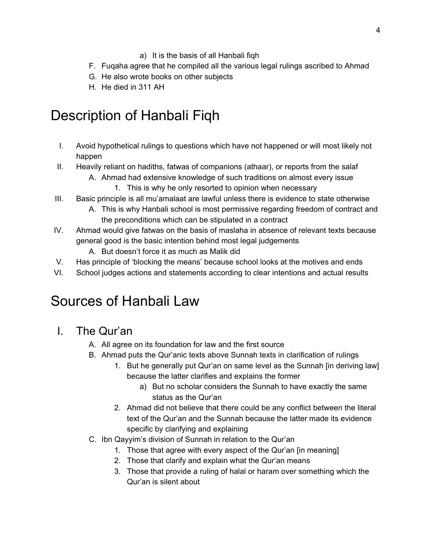- a) It is the basis of all Hanbali fiqh
- F. Fuqaha agree that he compiled all the various legal rulings ascribed to Ahmad
- G. He also wrote books on other subjects
- H. He died in 311 AH

# <span id="page-3-0"></span>Description of Hanbali Fiqh

- I. Avoid hypothetical rulings to questions which have not happened or will most likely not happen
- II. Heavily reliant on hadiths, fatwas of companions (athaar), or reports from the salaf
	- A. Ahmad had extensive knowledge of such traditions on almost every issue 1. This is why he only resorted to opinion when necessary
- III. Basic principle is all mu'amalaat are lawful unless there is evidence to state otherwise
	- A. This is why Hanbali school is most permissive regarding freedom of contract and the preconditions which can be stipulated in a contract
- IV. Ahmad would give fatwas on the basis of maslaha in absence of relevant texts because general good is the basic intention behind most legal judgements
	- A. But doesn't force it as much as Malik did
- V. Has principle of 'blocking the means' because school looks at the motives and ends
- <span id="page-3-1"></span>VI. School judges actions and statements according to clear intentions and actual results

### Sources of Hanbali Law

- <span id="page-3-2"></span>I. The Qur'an
	- A. All agree on its foundation for law and the first source
	- B. Ahmad puts the Qur'anic texts above Sunnah texts in clarification of rulings
		- 1. But he generally put Qur'an on same level as the Sunnah [in deriving law] because the latter clarifies and explains the former
			- a) But no scholar considers the Sunnah to have exactly the same status as the Qur'an
		- 2. Ahmad did not believe that there could be any conflict between the literal text of the Qur'an and the Sunnah because the latter made its evidence specific by clarifying and explaining
	- C. Ibn Qayyim's division of Sunnah in relation to the Qur'an
		- 1. Those that agree with every aspect of the Qur'an [in meaning]
		- 2. Those that clarify and explain what the Qur'an means
		- 3. Those that provide a ruling of halal or haram over something which the Qur'an is silent about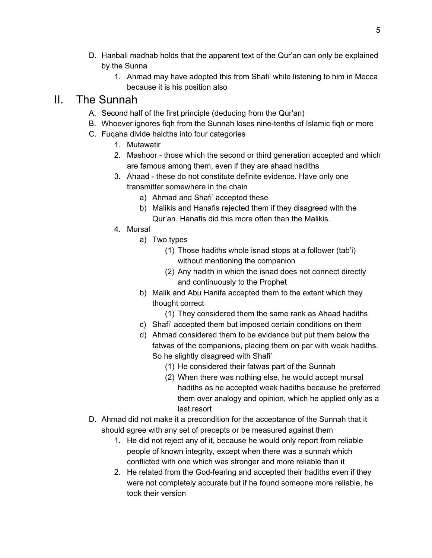- D. Hanbali madhab holds that the apparent text of the Qur'an can only be explained by the Sunna
	- 1. Ahmad may have adopted this from Shafi' while listening to him in Mecca because it is his position also

#### <span id="page-4-0"></span>II. The Sunnah

- A. Second half of the first principle (deducing from the Qur'an)
- B. Whoever ignores fiqh from the Sunnah loses nine-tenths of Islamic fiqh or more
- C. Fuqaha divide haidths into four categories
	- 1. Mutawatir
	- 2. Mashoor those which the second or third generation accepted and which are famous among them, even if they are ahaad hadiths
	- 3. Ahaad these do not constitute definite evidence. Have only one transmitter somewhere in the chain
		- a) Ahmad and Shafi' accepted these
		- b) Malikis and Hanafis rejected them if they disagreed with the Qur'an. Hanafis did this more often than the Malikis.
	- 4. Mursal
		- a) Two types
			- (1) Those hadiths whole isnad stops at a follower (tab'i) without mentioning the companion
			- (2) Any hadith in which the isnad does not connect directly and continuously to the Prophet
		- b) Malik and Abu Hanifa accepted them to the extent which they thought correct
			- (1) They considered them the same rank as Ahaad hadiths
		- c) Shafi' accepted them but imposed certain conditions on them
		- d) Ahmad considered them to be evidence but put them below the fatwas of the companions, placing them on par with weak hadiths. So he slightly disagreed with Shafi'
			- (1) He considered their fatwas part of the Sunnah
			- (2) When there was nothing else, he would accept mursal hadiths as he accepted weak hadiths because he preferred them over analogy and opinion, which he applied only as a last resort
- D. Ahmad did not make it a precondition for the acceptance of the Sunnah that it should agree with any set of precepts or be measured against them
	- 1. He did not reject any of it, because he would only report from reliable people of known integrity, except when there was a sunnah which conflicted with one which was stronger and more reliable than it
	- 2. He related from the God-fearing and accepted their hadiths even if they were not completely accurate but if he found someone more reliable, he took their version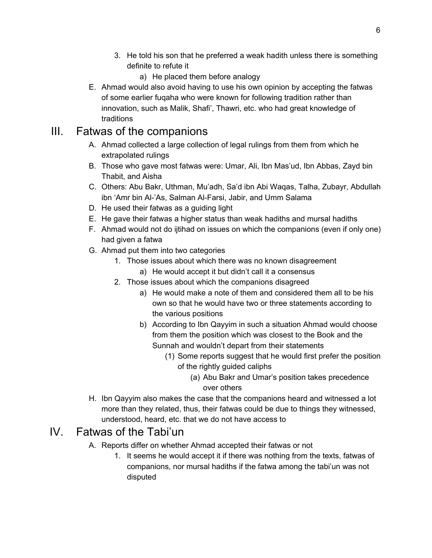- 3. He told his son that he preferred a weak hadith unless there is something definite to refute it
	- a) He placed them before analogy
- E. Ahmad would also avoid having to use his own opinion by accepting the fatwas of some earlier fuqaha who were known for following tradition rather than innovation, such as Malik, Shafi', Thawri, etc. who had great knowledge of traditions

#### <span id="page-5-0"></span>III. Fatwas of the companions

- A. Ahmad collected a large collection of legal rulings from them from which he extrapolated rulings
- B. Those who gave most fatwas were: Umar, Ali, Ibn Mas'ud, Ibn Abbas, Zayd bin Thabit, and Aisha
- C. Others: Abu Bakr, Uthman, Mu'adh, Sa'd ibn Abi Waqas, Talha, Zubayr, Abdullah ibn 'Amr bin Al-'As, Salman Al-Farsi, Jabir, and Umm Salama
- D. He used their fatwas as a guiding light
- E. He gave their fatwas a higher status than weak hadiths and mursal hadiths
- F. Ahmad would not do ijtihad on issues on which the companions (even if only one) had given a fatwa
- G. Ahmad put them into two categories
	- 1. Those issues about which there was no known disagreement
		- a) He would accept it but didn't call it a consensus
	- 2. Those issues about which the companions disagreed
		- a) He would make a note of them and considered them all to be his own so that he would have two or three statements according to the various positions
		- b) According to Ibn Qayyim in such a situation Ahmad would choose from them the position which was closest to the Book and the Sunnah and wouldn't depart from their statements
			- (1) Some reports suggest that he would first prefer the position of the rightly guided caliphs
				- (a) Abu Bakr and Umar's position takes precedence over others
- H. Ibn Qayyim also makes the case that the companions heard and witnessed a lot more than they related, thus, their fatwas could be due to things they witnessed, understood, heard, etc. that we do not have access to

#### <span id="page-5-1"></span>IV. Fatwas of the Tabi'un

- A. Reports differ on whether Ahmad accepted their fatwas or not
	- 1. It seems he would accept it if there was nothing from the texts, fatwas of companions, nor mursal hadiths if the fatwa among the tabi'un was not disputed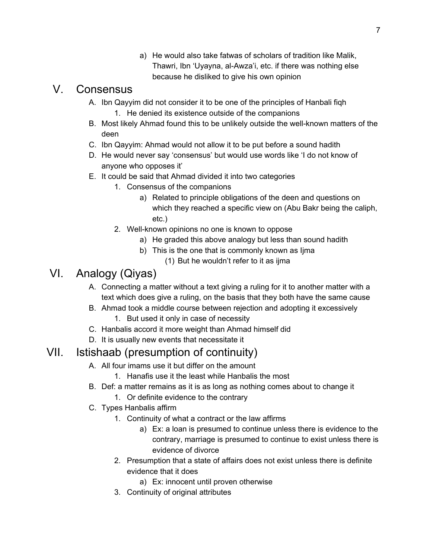a) He would also take fatwas of scholars of tradition like Malik, Thawri, Ibn 'Uyayna, al-Awza'i, etc. if there was nothing else because he disliked to give his own opinion

#### <span id="page-6-0"></span>V. Consensus

- A. Ibn Qayyim did not consider it to be one of the principles of Hanbali fiqh
	- 1. He denied its existence outside of the companions
- B. Most likely Ahmad found this to be unlikely outside the well-known matters of the deen
- C. Ibn Qayyim: Ahmad would not allow it to be put before a sound hadith
- D. He would never say 'consensus' but would use words like 'I do not know of anyone who opposes it'
- E. It could be said that Ahmad divided it into two categories
	- 1. Consensus of the companions
		- a) Related to principle obligations of the deen and questions on which they reached a specific view on (Abu Bakr being the caliph, etc.)
	- 2. Well-known opinions no one is known to oppose
		- a) He graded this above analogy but less than sound hadith
		- b) This is the one that is commonly known as Ijma
			- (1) But he wouldn't refer to it as ijma

#### <span id="page-6-1"></span>VI. Analogy (Qiyas)

- A. Connecting a matter without a text giving a ruling for it to another matter with a text which does give a ruling, on the basis that they both have the same cause
- B. Ahmad took a middle course between rejection and adopting it excessively
	- 1. But used it only in case of necessity
- C. Hanbalis accord it more weight than Ahmad himself did
- D. It is usually new events that necessitate it

#### <span id="page-6-2"></span>VII. Istishaab (presumption of continuity)

- A. All four imams use it but differ on the amount
	- 1. Hanafis use it the least while Hanbalis the most
- B. Def: a matter remains as it is as long as nothing comes about to change it
	- 1. Or definite evidence to the contrary
- C. Types Hanbalis affirm
	- 1. Continuity of what a contract or the law affirms
		- a) Ex: a loan is presumed to continue unless there is evidence to the contrary, marriage is presumed to continue to exist unless there is evidence of divorce
	- 2. Presumption that a state of affairs does not exist unless there is definite evidence that it does
		- a) Ex: innocent until proven otherwise
	- 3. Continuity of original attributes